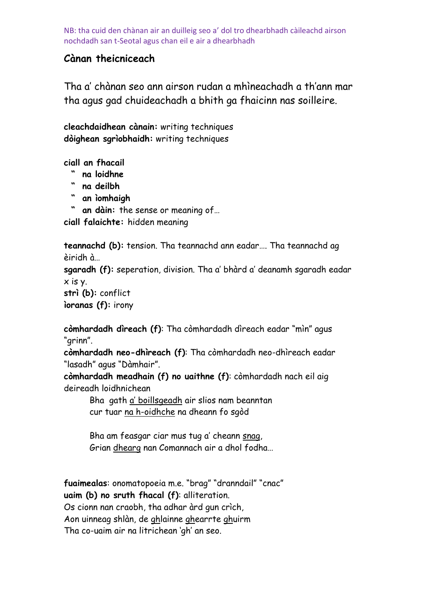### **Cànan theicniceach**

Tha a" chànan seo ann airson rudan a mhìneachadh a th"ann mar tha agus gad chuideachadh a bhith ga fhaicinn nas soilleire.

**cleachdaidhean cànain:** writing techniques **dòighean sgrìobhaidh:** writing techniques

**ciall an fhacail** 

- **" na loidhne**
- **" na deilbh**
- **" an ìomhaigh**

 **" an dàin:** the sense or meaning of…

**ciall falaichte:** hidden meaning

**teannachd (b):** tension. Tha teannachd ann eadar…. Tha teannachd ag èiridh à…

**sgaradh (f):** seperation, division. Tha a" bhàrd a" deanamh sgaradh eadar x is y.

**strì (b):** conflict

**ìoranas (f):** irony

**còmhardadh dìreach (f)**: Tha còmhardadh dìreach eadar "mìn" agus "grinn".

**còmhardadh neo-dhìreach (f)**: Tha còmhardadh neo-dhìreach eadar "lasadh" agus "Dàmhair".

**còmhardadh meadhain (f) no uaithne (f)**: còmhardadh nach eil aig deireadh loidhnichean

Bha gath a" boillsgeadh air slios nam beanntan cur tuar na h-oidhche na dheann fo sgòd

Bha am feasgar ciar mus tug a' cheann snag, Grian dhearg nan Comannach air a dhol fodha…

**fuaimealas**: onomatopoeia m.e. "brag" "dranndail" "cnac" **uaim (b) no sruth fhacal (f)**: alliteration. Os cionn nan craobh, tha adhar àrd gun crìch, Aon uinneag shlàn, de ghlainne ghearrte ghuirm Tha co-uaim air na litrichean "gh" an seo.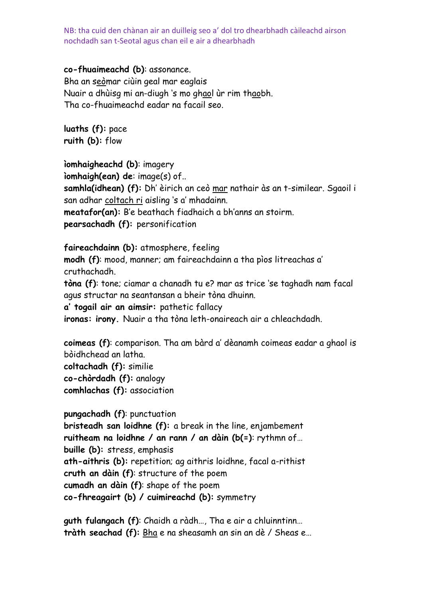#### **co-fhuaimeachd (b)**: assonance.

Bha an seòmar ciùin geal mar eaglais Nuair a dhùisg mi an-diugh "s mo ghaol ùr rim thaobh. Tha co-fhuaimeachd eadar na facail seo.

**luaths (f):** pace **ruith (b):** flow

#### **ìomhaigheachd (b)**: imagery

**ìomhaigh(ean) de**: image(s) of..

**samhla(idhean) (f):** Dh" èirich an ceò mar nathair às an t-similear. Sgaoil i san adhar coltach ri aisling "s a" mhadainn.

**meatafor(an):** B"e beathach fiadhaich a bh"anns an stoirm. **pearsachadh (f):** personification

#### **faireachdainn (b):** atmosphere, feeling

**modh (f)**: mood, manner; am faireachdainn a tha pìos litreachas a" cruthachadh.

**tòna (f)**: tone; ciamar a chanadh tu e? mar as trice "se taghadh nam facal agus structar na seantansan a bheir tòna dhuinn.

**a' togail air an aimsir:** pathetic fallacy

**ironas: irony.** Nuair a tha tòna leth-onaireach air a chleachdadh.

**coimeas (f)**: comparison. Tha am bàrd a" dèanamh coimeas eadar a ghaol is bòidhchead an latha.

**coltachadh (f):** similie **co-chòrdadh (f):** analogy **comhlachas (f):** association

**pungachadh (f)**: punctuation **bristeadh san loidhne (f):** a break in the line, enjambement **ruitheam na loidhne / an rann / an dàin (b(=)**: rythmn of… **buille (b):** stress, emphasis **ath-aithris (b):** repetition; ag aithris loidhne, facal a-rithist **cruth an dàin (f)**: structure of the poem **cumadh an dàin (f)**: shape of the poem **co-fhreagairt (b) / cuimireachd (b):** symmetry

**guth fulangach (f)**: Chaidh a ràdh…, Tha e air a chluinntinn… **tràth seachad (f):** Bha e na sheasamh an sin an dè / Sheas e…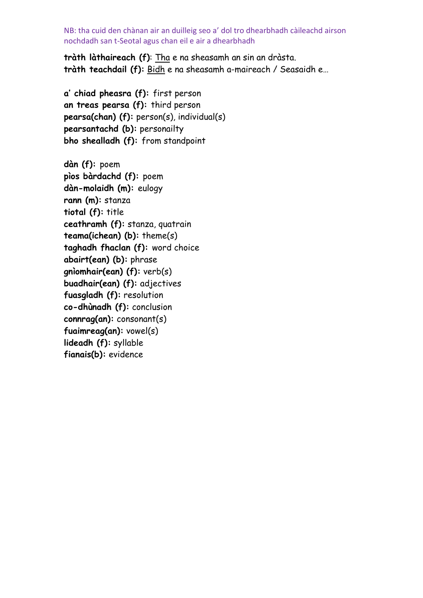**tràth làthaireach (f)**: Tha e na sheasamh an sin an dràsta. **tràth teachdail (f):** Bidh e na sheasamh a-maireach / Seasaidh e…

**a' chiad pheasra (f):** first person **an treas pearsa (f):** third person **pearsa(chan) (f):** person(s), individual(s) **pearsantachd (b):** personailty **bho shealladh (f):** from standpoint

**dàn (f):** poem **pìos bàrdachd (f):** poem **dàn-molaidh (m):** eulogy **rann (m):** stanza **tiotal (f):** title **ceathramh (f):** stanza, quatrain **teama(ichean) (b):** theme(s) **taghadh fhaclan (f):** word choice **abairt(ean) (b):** phrase **gnìomhair(ean) (f):** verb(s) **buadhair(ean) (f):** adjectives **fuasgladh (f):** resolution **co-dhùnadh (f):** conclusion **connrag(an):** consonant(s) **fuaimreag(an):** vowel(s) **lideadh (f):** syllable **fianais(b):** evidence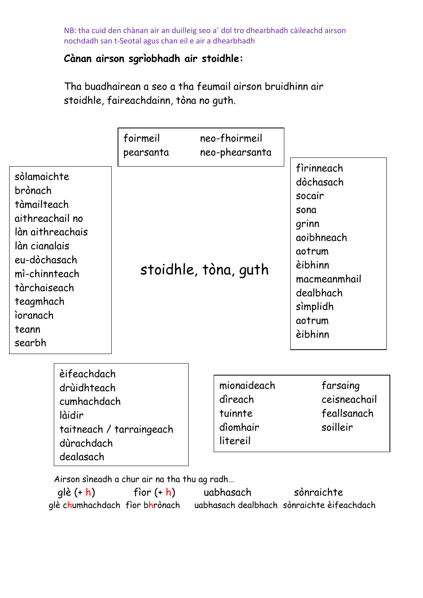## **Cànan airson sgrìobhadh air stoidhle:**

Tha buadhairean a seo a tha feumail airson bruidhinn air stoidhle, faireachdainn, tòna no guth.

|                                                                                                                                                                                            |                                                                                | foirmeil<br>pearsanta    | neo-fhoirmeil<br>neo-phearsanta                           |                                                                                                                                                     |
|--------------------------------------------------------------------------------------------------------------------------------------------------------------------------------------------|--------------------------------------------------------------------------------|--------------------------|-----------------------------------------------------------|-----------------------------------------------------------------------------------------------------------------------------------------------------|
| sòlamaichte<br>brònach<br>tàmailteach<br>aithreachail no<br>làn aithreachais<br>làn cianalais<br>eu-dòchasach<br>mì-chinnteach<br>tàrchaiseach<br>teagmhach<br>ioranach<br>teann<br>searbh |                                                                                | stoidhle, tòna, guth     |                                                           | firinneach<br>dòchasach<br>socair<br>sona<br>grinn<br>aoibhneach<br>aotrum<br>èibhinn<br>macmeanmhail<br>dealbhach<br>simplidh<br>aotrum<br>èibhinn |
|                                                                                                                                                                                            | èifeachdach<br>drùidhteach<br>cumhachdach<br>làidir<br>dùrachdach<br>dealasach | taitneach / tarraingeach | mionaideach<br>dìreach<br>tuinnte<br>dìomhair<br>litereil | farsaing<br>ceisneachail<br>feallsanach<br>soilleir                                                                                                 |

Airson sìneadh a chur air na tha thu ag radh…

 glè (+ h) fìor (+ h) uabhasach sònraichte glè chumhachdach fìor bhrònach uabhasach dealbhach sònraichte èifeachdach